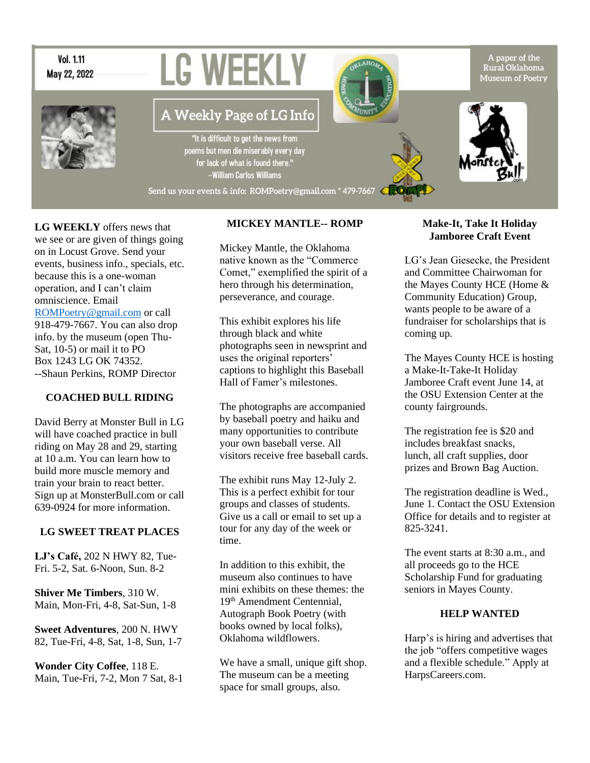

**LG WEEKLY** offers news that we see or are given of things going on in Locust Grove. Send your events, business info., specials, etc. because this is a one-woman operation, and I can't claim omniscience. Email [ROMPoetry@gmail.com](mailto:ROMPoetry@gmail.com) or call 918-479-7667. You can also drop info. by the museum (open Thu-Sat, 10-5) or mail it to PO Box 1243 LG OK 74352. --Shaun Perkins, ROMP Director

#### **COACHED BULL RIDING**

David Berry at Monster Bull in LG will have coached practice in bull riding on May 28 and 29, starting at 10 a.m. You can learn how to build more muscle memory and train your brain to react better. Sign up at MonsterBull.com or call 639-0924 for more information.

#### **LG SWEET TREAT PLACES**

**LJ's Café,** 202 N HWY 82, Tue-Fri. 5-2, Sat. 6-Noon, Sun. 8-2

**Shiver Me Timbers**, 310 W. Main, Mon-Fri, 4-8, Sat-Sun, 1-8

**Sweet Adventures**, 200 N. HWY 82, Tue-Fri, 4-8, Sat, 1-8, Sun, 1-7

**Wonder City Coffee**, 118 E. Main, Tue-Fri, 7-2, Mon 7 Sat, 8-1

### **MICKEY MANTLE-- ROMP**

Mickey Mantle, the Oklahoma native known as the "Commerce Comet," exemplified the spirit of a hero through his determination, perseverance, and courage.

This exhibit explores his life through black and white photographs seen in newsprint and uses the original reporters' captions to highlight this Baseball Hall of Famer's milestones.

The photographs are accompanied by baseball poetry and haiku and many opportunities to contribute your own baseball verse. All visitors receive free baseball cards.

The exhibit runs May 12-July 2. This is a perfect exhibit for tour groups and classes of students. Give us a call or email to set up a tour for any day of the week or time.

In addition to this exhibit, the museum also continues to have mini exhibits on these themes: the 19th Amendment Centennial, Autograph Book Poetry (with books owned by local folks), Oklahoma wildflowers.

We have a small, unique gift shop. The museum can be a meeting space for small groups, also.

#### **Make-It, Take It Holiday Jamboree Craft Event**

LG's Jean Giesecke, the President and Committee Chairwoman for the Mayes County HCE (Home & Community Education) Group, wants people to be aware of a fundraiser for scholarships that is coming up.

The Mayes County HCE is hosting a Make-It-Take-It Holiday Jamboree Craft event June 14, at the OSU Extension Center at the county fairgrounds.

The registration fee is \$20 and includes breakfast snacks, lunch, all craft supplies, door prizes and Brown Bag Auction.

The registration deadline is Wed., June 1. Contact the OSU Extension Office for details and to register at 825-3241.

The event starts at 8:30 a.m., and all proceeds go to the HCE Scholarship Fund for graduating seniors in Mayes County.

#### **HELP WANTED**

Harp's is hiring and advertises that the job "offers competitive wages and a flexible schedule." Apply at HarpsCareers.com.